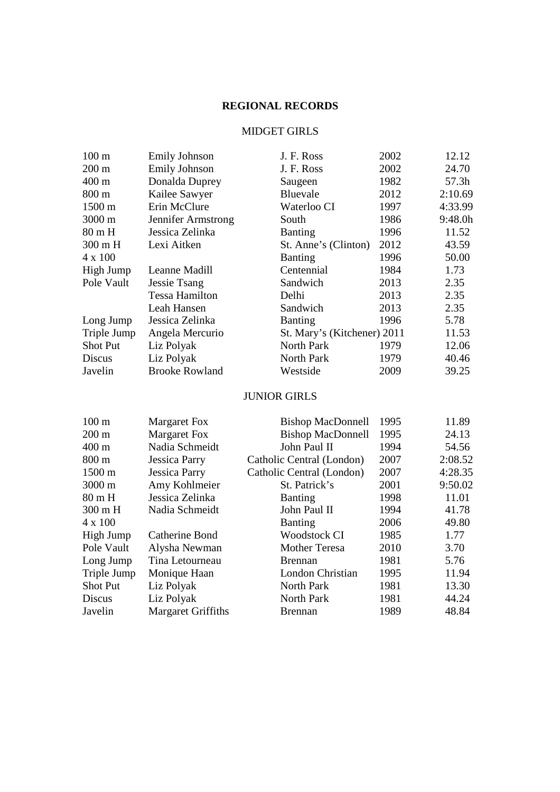## **REGIONAL RECORDS**

### MIDGET GIRLS

| 100 <sub>m</sub> | <b>Emily Johnson</b>      | J. F. Ross                  | 2002 | 12.12   |
|------------------|---------------------------|-----------------------------|------|---------|
| $200 \text{ m}$  | <b>Emily Johnson</b>      | J. F. Ross                  | 2002 | 24.70   |
| 400 m            | Donalda Duprey            | Saugeen                     | 1982 | 57.3h   |
| 800 m            | Kailee Sawyer             | Bluevale                    | 2012 | 2:10.69 |
| 1500 m           | Erin McClure              | Waterloo CI                 | 1997 | 4:33.99 |
| 3000 m           | Jennifer Armstrong        | South                       | 1986 | 9:48.0h |
| 80 m H           | Jessica Zelinka           | <b>Banting</b>              | 1996 | 11.52   |
| 300 m H          | Lexi Aitken               | St. Anne's (Clinton)        | 2012 | 43.59   |
| 4 x 100          |                           | Banting                     | 1996 | 50.00   |
| High Jump        | Leanne Madill             | Centennial                  | 1984 | 1.73    |
| Pole Vault       | <b>Jessie Tsang</b>       | Sandwich                    | 2013 | 2.35    |
|                  | <b>Tessa Hamilton</b>     | Delhi                       | 2013 | 2.35    |
|                  | Leah Hansen               | Sandwich                    | 2013 | 2.35    |
| Long Jump        | Jessica Zelinka           | Banting                     | 1996 | 5.78    |
| Triple Jump      | Angela Mercurio           | St. Mary's (Kitchener) 2011 |      | 11.53   |
| <b>Shot Put</b>  | Liz Polyak                | <b>North Park</b>           | 1979 | 12.06   |
| <b>Discus</b>    | Liz Polyak                | North Park                  | 1979 | 40.46   |
| Javelin          | <b>Brooke Rowland</b>     | Westside                    | 2009 | 39.25   |
|                  |                           | <b>JUNIOR GIRLS</b>         |      |         |
| 100 <sub>m</sub> | <b>Margaret Fox</b>       | <b>Bishop MacDonnell</b>    | 1995 | 11.89   |
| $200 \text{ m}$  | <b>Margaret Fox</b>       | <b>Bishop MacDonnell</b>    | 1995 | 24.13   |
| 400 m            | Nadia Schmeidt            | John Paul II                | 1994 | 54.56   |
| 800 m            | <b>Jessica Parry</b>      | Catholic Central (London)   | 2007 | 2:08.52 |
| 1500 m           | <b>Jessica Parry</b>      | Catholic Central (London)   | 2007 | 4:28.35 |
| 3000 m           | Amy Kohlmeier             | St. Patrick's               | 2001 | 9:50.02 |
| 80 m H           | Jessica Zelinka           | <b>Banting</b>              | 1998 | 11.01   |
| 300 m H          | Nadia Schmeidt            | John Paul II                | 1994 | 41.78   |
| 4 x 100          |                           | Banting                     | 2006 | 49.80   |
| High Jump        | <b>Catherine Bond</b>     | <b>Woodstock CI</b>         | 1985 | 1.77    |
| Pole Vault       | Alysha Newman             | <b>Mother Teresa</b>        | 2010 | 3.70    |
| Long Jump        | Tina Letourneau           | <b>Brennan</b>              | 1981 | 5.76    |
| Triple Jump      | Monique Haan              | London Christian            | 1995 | 11.94   |
| <b>Shot Put</b>  | Liz Polyak                | North Park                  | 1981 | 13.30   |
| <b>Discus</b>    | Liz Polyak                | North Park                  | 1981 | 44.24   |
| Javelin          | <b>Margaret Griffiths</b> | <b>Brennan</b>              | 1989 | 48.84   |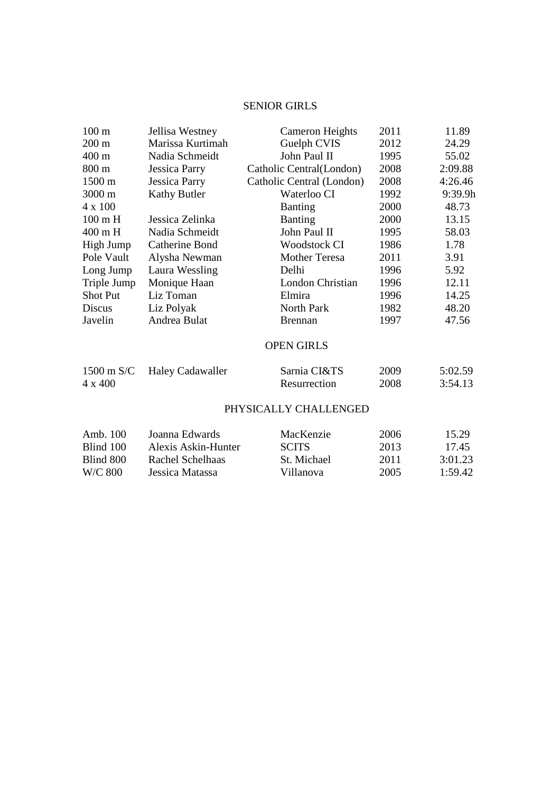## SENIOR GIRLS

| $100 \text{ m}$   | Jellisa Westney     | Cameron Heights           | 2011 | 11.89   |
|-------------------|---------------------|---------------------------|------|---------|
| $200 \text{ m}$   | Marissa Kurtimah    | Guelph CVIS               | 2012 | 24.29   |
| $400 \text{ m}$   | Nadia Schmeidt      | John Paul II              | 1995 | 55.02   |
| $800 \text{ m}$   | Jessica Parry       | Catholic Central(London)  | 2008 | 2:09.88 |
| 1500 m            | Jessica Parry       | Catholic Central (London) | 2008 | 4:26.46 |
| 3000 m            | <b>Kathy Butler</b> | Waterloo CI               | 1992 | 9:39.9h |
| $4 \times 100$    |                     | <b>Banting</b>            | 2000 | 48.73   |
| $100 \text{ m H}$ | Jessica Zelinka     | <b>Banting</b>            | 2000 | 13.15   |
| 400 m H           | Nadia Schmeidt      | John Paul II              | 1995 | 58.03   |
| High Jump         | Catherine Bond      | <b>Woodstock CI</b>       | 1986 | 1.78    |
| Pole Vault        | Alysha Newman       | <b>Mother Teresa</b>      | 2011 | 3.91    |
| Long Jump         | Laura Wessling      | Delhi                     | 1996 | 5.92    |
| Triple Jump       | Monique Haan        | London Christian          | 1996 | 12.11   |
| <b>Shot Put</b>   | Liz Toman           | Elmira                    | 1996 | 14.25   |
| Discus            | Liz Polyak          | North Park                | 1982 | 48.20   |
| Javelin           | Andrea Bulat        | <b>Brennan</b>            | 1997 | 47.56   |
|                   |                     |                           |      |         |

## OPEN GIRLS

|         | 1500 m S/C Haley Cadawaller | Sarnia CI&TS | 2009 | 5:02.59 |
|---------|-----------------------------|--------------|------|---------|
| 4 x 400 |                             | Resurrection | 2008 | 3:54.13 |

### PHYSICALLY CHALLENGED

| Amb. $100$ | Joanna Edwards      | MacKenzie    | 2006 | 15.29   |
|------------|---------------------|--------------|------|---------|
| Blind 100  | Alexis Askin-Hunter | <b>SCITS</b> | 2013 | 17.45   |
| Blind 800  | Rachel Schelhaas    | St. Michael  | 2011 | 3:01.23 |
| W/C 800    | Jessica Matassa     | Villanova    | 2005 | 1:59.42 |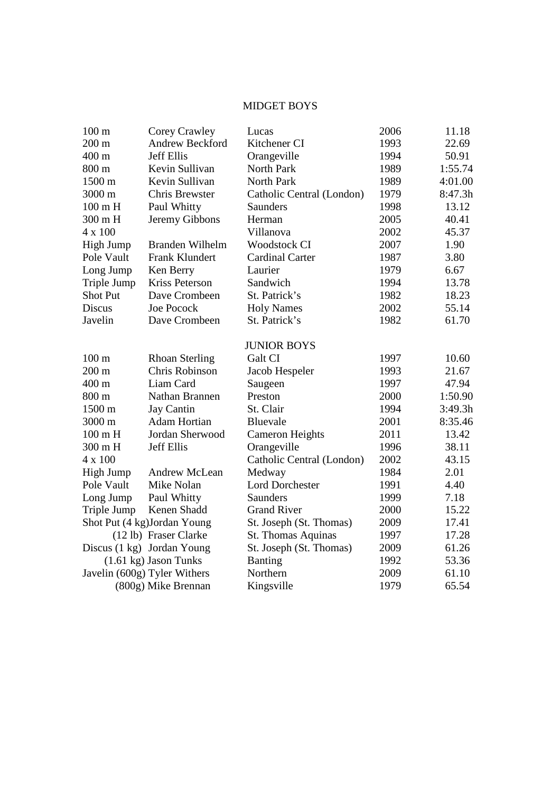# MIDGET BOYS

| 100 <sub>m</sub>  | Corey Crawley                   | Lucas                     | 2006 | 11.18   |
|-------------------|---------------------------------|---------------------------|------|---------|
| $200 \text{ m}$   | <b>Andrew Beckford</b>          | Kitchener CI              | 1993 | 22.69   |
| 400 m             | <b>Jeff Ellis</b>               | Orangeville               | 1994 | 50.91   |
| 800 m             | Kevin Sullivan                  | North Park                | 1989 | 1:55.74 |
| 1500 m            | Kevin Sullivan                  | North Park                | 1989 | 4:01.00 |
| 3000 m            | <b>Chris Brewster</b>           | Catholic Central (London) | 1979 | 8:47.3h |
| $100 \text{ m H}$ | Paul Whitty                     | Saunders                  | 1998 | 13.12   |
| 300 m H           | Jeremy Gibbons                  | Herman                    | 2005 | 40.41   |
| 4 x 100           |                                 | Villanova                 | 2002 | 45.37   |
| High Jump         | Branden Wilhelm                 | <b>Woodstock CI</b>       | 2007 | 1.90    |
| Pole Vault        | Frank Klundert                  | <b>Cardinal Carter</b>    | 1987 | 3.80    |
| Long Jump         | Ken Berry                       | Laurier                   | 1979 | 6.67    |
| Triple Jump       | <b>Kriss Peterson</b>           | Sandwich                  | 1994 | 13.78   |
| <b>Shot Put</b>   | Dave Crombeen                   | St. Patrick's             | 1982 | 18.23   |
| <b>Discus</b>     | <b>Joe Pocock</b>               | <b>Holy Names</b>         | 2002 | 55.14   |
| Javelin           | Dave Crombeen                   | St. Patrick's             | 1982 | 61.70   |
|                   |                                 | <b>JUNIOR BOYS</b>        |      |         |
| $100 \text{ m}$   | <b>Rhoan Sterling</b>           | Galt CI                   | 1997 | 10.60   |
| $200 \text{ m}$   | Chris Robinson                  | Jacob Hespeler            | 1993 | 21.67   |
| 400 m             | Liam Card                       | Saugeen                   | 1997 | 47.94   |
| 800 m             | Nathan Brannen                  | Preston                   | 2000 | 1:50.90 |
| 1500 m            | Jay Cantin                      | St. Clair                 | 1994 | 3:49.3h |
| 3000 m            | <b>Adam Hortian</b>             | <b>Bluevale</b>           | 2001 | 8:35.46 |
| $100 \text{ m H}$ | Jordan Sherwood                 | <b>Cameron Heights</b>    | 2011 | 13.42   |
| 300 m H           | <b>Jeff Ellis</b>               | Orangeville               | 1996 | 38.11   |
| 4 x 100           |                                 | Catholic Central (London) | 2002 | 43.15   |
| High Jump         | Andrew McLean                   | Medway                    | 1984 | 2.01    |
| Pole Vault        | Mike Nolan                      | <b>Lord Dorchester</b>    | 1991 | 4.40    |
| Long Jump         | Paul Whitty                     | Saunders                  | 1999 | 7.18    |
| Triple Jump       | Kenen Shadd                     | <b>Grand River</b>        | 2000 | 15.22   |
|                   | Shot Put (4 kg)Jordan Young     | St. Joseph (St. Thomas)   | 2009 | 17.41   |
|                   | (12 lb) Fraser Clarke           | St. Thomas Aquinas        | 1997 | 17.28   |
|                   | Discus (1 kg) Jordan Young      | St. Joseph (St. Thomas)   | 2009 | 61.26   |
|                   | $(1.61 \text{ kg})$ Jason Tunks | <b>Banting</b>            | 1992 | 53.36   |
|                   | Javelin (600g) Tyler Withers    | Northern                  | 2009 | 61.10   |
|                   | (800g) Mike Brennan             | Kingsville                | 1979 | 65.54   |